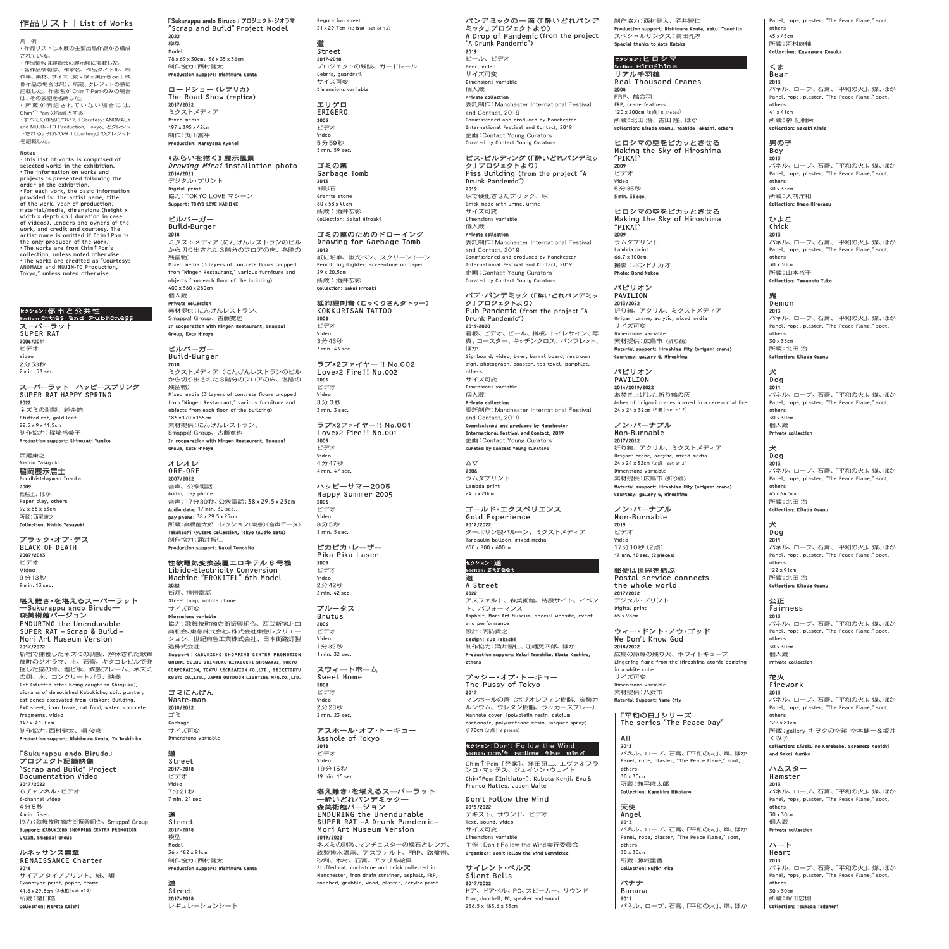### 作品リスト|List of Works

凡 例 ・作品リストは本展の主要出品作品から構成

されている。<br>・作品情報は展覧会の展示順に掲載した。<br>・各作品情報は、作家名、作品タイトル、制<br>作年、素材、サイズ(縦×横×奥行きcm|映 像作品の場合は尺)、所蔵、クレジットの順に 記載した。作家名が Chim↑Pom のみの場合 は、その表記を省略した。 ・ 所 蔵 が 明 記 さ れ て い な い 場 合 に は、

Chim个Pom の所蔵とする。<br>・すべての作品について「Courtesy: ANOMALY<br>and MUJIN-TO Production, Tokyo」とクレジット<br>トされる。例外のみ「Courtesy」のクレジット を記載した。

Notes ・This List of Works is comprised of selected works in the exhibition.<br>
•The information on works and<br>
projects is presented following the<br>
•For each work, the basic information<br>
•Provided is: the artist name, title<br>
provided is: the artist name, title of the work, year of production, material/media, dimensions (height x width x depth cm | duration in case of videos), lenders and owners of the work, and credit and courtesy. The artist name is omitted if Chim**↑**Pom is the only producer of the work. ・The works are from Chim**↑**Pom's collection, unless noted otherwise. ・The works are credited as "Courtesy: ANOMALY and MUJIN-TO Production, Tokyo," unless noted otherwise.

## セクション:都市と公共性 Section: Cities and Publicness

スーパーラット SUPER RAT 2006/2011 ビデオ Video 2分53秒 2 min. 53 sec.

スーパーラット ハッピースプリング SUPER RAT HAPPY SPRING **2022**<br>ネズミの剥製、純金箔 Stuffed rat, gold leaf 22.5 x 9 x 11.5cm

制作協力:篠崎裕美子 Production support: Shinozaki Yumiko 西尾康之

Nishio Yasuyuki 稲岡展示居士

Buddhist-layman Inaoka 2009 <del>……</del><br>紙粘土、ほか Paper clay, others 92 x 86 x 53cm 所蔵:西尾康之 Collection: Night

ブラック・オブ・デス BLACK OF DEATH

2007/2013 ビデオ Video 9 分13秒 9 min. 13 sec.

堪え難き・を堪えるスーパーラット ―Sukurappu ando Birudo― 森美術館バージョン ENDURING the Unendurable

SUPER RAT –Scrap & Build– Mori Art Museum Version 2017/2022 新宿で捕獲したネズミの剥製、解体された歌舞 伎町のジオラマ、土、石膏、キタコレビルで発

掘した猫の骨、塩ビ板、鉄製フレーム、ネズミ の餌、水、コンクリートガラ、映像 Rat (stuffed after being caught in Shinjuku), diorama of demolished Kabukicho, soil, plaster, cat bones excavated from Kitakore Building, PVC sheet, iron frame, rat food, water, concrete

fragments, video 147 x φ100cm ……。,........<br>制作協力:西村健太、楊 俊彦 Production support: Nishimura Kenta, Yo Toshihiko

「Sukurappu ando Birudo」 プロジェクト記録映像 "Scrap and Build" Project Documentation Video **2017/2022**<br>6チャンネル・ビデオ 6-channel video 4分5秒

4 min. 5 sec. 協力:歌舞伎町商店街振興組合、Smappa! Group Support: KABUKICHO SHOPPING CENTER PROMOTION UNION, Smappa! Group

ルネッサンス憲章 RENAISSANCE Charter

2016 サイアノタイププリント、紙、額 Cyanotype print, paper, frame<br>41.8 x 29.8cm (2**枚組** | set of 2) 所蔵:諸田皓一 Collection: Morota Koichi

「Sukurappu ando Birudo」プロジェクト・ジオラマ "Scrap and Build" Project Model

2022 模型 Model 78 x 69 x 30cm、36 x 35 x 36cm 制作協力:西村健太 Production support: Nishin

ロードショー(レプリカ) The Road Show (replica) 2017/2022 ミクストメディア Mixed media 197 x 395 x 42cm 制作:丸山喬平 n: Maruyama Kyohe

《みらいを描く》展示風景 Drawing Mirai installation photo **2016/2021**<br>デジタル・プリント Digital print 協力:TOKYO LOVE マシーン Support: TOKYO LOVE MACHINE

### ビルバーガー Build-Burger

 $\frac{2018}{2018}$ ミクストメディア(にんげんレストランのビル トンスキング・ソークではないファインション。<br>から切り出された3階分のフロアの床、各階の 残留物) Mixed media (3 layers of concrete floors cropped from "Ningen Restaurant," various furniture and objects from each floor of the building)  $(0, 0, 7, 6, 0, 280$ 

個人蔵

**Private collection**<br>素材提供:にんげんレストラン、 Smappa! Group、古藤寛也 In cooperation with Ningen Restaurant, Smappa! Group, Koto Hiroya

ビルバーガー Build-Burger 2018 **2018**<br>ミクストメディア (にんげんレストランのビル

トン・ハイ・アーバーののアレクトランのピル<br>から切り出された3階分のフロアの床、各階の 残留物) Mixed media (3 layers of concrete floors cropped from "Ningen Restaurant," various furniture and objects from each floor of the building) 186 x170 x155cm - 200 x 110 x 155cm<br>素材提供: にんげんレストラン、 Smappa! Group、古藤寛也<br>In cooperation with Ningen Restaurant, Smappa! Group, Koto Hiroya

### オレオレ ORE-ORE

2007/2022 音声、公衆電話 Audio, pay phone 音声:17分30秒、公衆電話:38 x 29.5 x 25cm Audio data: 17 min. 30 sec., pay phone: 38 x 29.5 x 25cm 所蔵:高橋龍太郎コレクション(東京)(音声データ) Takahashi Ryutaro Collection, Tokyo (Audio data) 制作協力:涌井智仁 Production support: Wakui Tomohito

性欲電気変換装置エロキテル 6 号機

Libido-Electricity Conversion Machine "EROKITEL" 6th Model 2022 街灯、携帯電話 Street lamp, mobile phone

サイズ可変

D**imensions variable**<br>協力:歌舞伎町商店街振興組合、西武新宿北口 商和会、東急株式会社、株式会社東急レクリエー ション、世紀東急工業株式会社、日本街路灯製 造株式会社 Support:KABUKICHO SHOPPING CENTER PROMOTION

UNION, SEIBU SHINJUKU KITAGUCHI SHOWAKAI, TOKYU CORPORATION, TOKYU RECREATION CO.,LTD., SEIKITOKYU KOGYO CO.,LTD., JAPAN OUTDOOR LIGHTING MFG.CO.,LTD.

ゴミにんげん Waste-man 2018/2022 ゴミ Garbage -----*-*<br>サイズ可変

道 Street 2017–2018 ビデオ Video 7分21秒

Dimensions variable

7 min. 21 sec. 道 Street 2017–2018 模型 Model

道

36 x 182 x 91cm 制作協力:西村健太 Production support: Nishimura Kenta

Street 2017–2018 レギュレーションシート Regulation sheet 21 x 29.7cm (13枚組 | set of 13)

## 道 Street

2017-2018 プロジェクトの残骸、ガードレール Debris, guardrail サイズ可変 Dimensions variable エリゲロ ERIGERO

2005 ビデオ Video 5分59秒 5 min. 59 sec.

ゴミの墓 Garbage Tomb 2013 御影石 Granite stone 60 x 58 x 40cm 所蔵:酒井宏彰 

Collection: Sakai Hiroak

## ゴミの墓のためのドローイング Drawing for Garbage Tomb 2012

**zonz**<br>紙に鉛筆、蛍光ペン、スクリーントーン Pencil, highlighter, screentone on paper 29 x 20.5cm - <u>ア,と5.5</u>cm<br>所蔵:酒井宏彰 on: Sakai Hir

狐狗狸刺青(こっくりさんタトゥー) KOKKURISAN TATTOO 2008 ビデオ Video

-----<br>3分43秒 3 min. 43 sec. ラブx2ファイヤー !! No.002 Lovex2 Fire!! No.002

2006 ビデオ Video 3分3秒 3 min. 3 sec.

ラブx2ファイヤー !! No.001 Lovex2 Fire!! No.001 2005 ビデオ Video 4 分47秒 4 min. 47 sec.

ハッピーサマー2005 Happy Summer 2005 2006 ビデオ Video 8分5秒

#### ピカピカ・レーザー Pika Pika Laser

8 min. 5 sec.

2005 ビデオ Video 2分42秒 2 min. 42 sec.

ブルータス **Brutus** 2006 ビデオ

Video 1分32秒 1 min. 32 sec.

#### スウィートホーム Sweet Home 2008

ビデオ Video 2分23秒 2 min. 23 sec.

#### アスホール・オブ・トーキョー Asshole of Tokyo 2018 ビデオ Video

19分15秒 19 min. 15 sec. 堪え難き・を堪えるスーパーラット

# ―酔いどれパンデミック― 森美術館バージョン ENDURING the Unendurable SUPER RAT –A Drunk Pandemic– Mori Art Museum Version **2019/2022**<br>ネズミの剥製、マンチェスターの縁石とレンガ、 鉄製排水溝蓋、アスファルト、FRP、路盤帯、

砂利、木材、石膏、アクリル絵具 Stuffed rat, curbstone and brick collected in Manchester, iron drain strainer, asphalt, FRP, roadbed, grabble, wood, plaster, acrylic paint

制作協力:西村健太、涌井智仁 Production support: Nishimura Kenta, Wa スペシャルサンクス:青田孔孝 Special thanks to Aota Kotaka

### セクション:ヒロシマ Section: Hiroshima リアル千羽鶴

Real Thousand Cranes 2008 FRP、鶴の羽 FRP, crane feathers 120 x 200cm (8 点 | 8 pieces) 所蔵:北田 治、吉田 隆、ほか 

Collection: Kitada Osamu, Yoshida Takashi, others ヒロシマの空をピカッとさせる

Making the Sky of Hiroshima "PIKA!" 2009 ビデオ Video 5 分35秒 5 min. 35 sec.

パンデミックの一滴(「酔いどれパンデ ミック」プロジェクトより) A Drop of Pandemic (from the project

委託制作:Manchester International Festival

ピス・ビルディング(「酔いどれパンデミッ ク」プロジェクトより) Piss Building (from the project "A Drunk Pandemic")

委託制作:Manchester International Festival

パブ・パンデミック(「酔いどれパンデミッ ク」プロジェクトより) Pub Pandemic (from the project "A Drunk Pandemic") 2019-2020 看板、ビデオ、ビール、樽板、トイレサイン、写 ーム、コースター、キッチンクロス、パンフレット、<br>草、コースター、キッチンクロス、パンフレット、

Signboard, video, beer, barrel board, restroom sign, photograph, coaster, tea towel, pamphlet,

委託制作:Manchester International Festival

Commissioned and produced by Manchester International Festival and Contact, 2019 企画:Contact Young Curators Curated by Contact Young Curators

Commissioned and produced by Mancheste International Festival and Contact, 2019 企画:Contact Young Curators Curated by Contact Young Curat

"A Drunk Pandemic")

and Contact, 2019

尿で硬化させたブリック、尿 Brick made with urine, urine -- --- ----- ---<br>サイズ可変 Dimensions variable 個人蔵 Private collection

and Contact, 2019

2019 ビール、ビデオ Beer, video サイズ可変 Dimensions variable 個人蔵 Private collect

2019

ほか

others ----- -<br>サイズ可変 Dimensions variable 個人蔵 Private collect

 $\wedge$ 

and Contact, 2019 Commissioned and produced by Manchester International Festival and Contact, 2019 企画:Contact Young Curators

Curated by Contact Yo

**2006**<br>ラムダプリント Lambda print 24.5 x 20cm

セクション:道 Section: Street

and performance 設計:周防貴之 

 $φ$  70cm (2  $#$ | 2 pieces)

道 A Street 2022

others

2017

ゴールド・エクスペリエンス Gold Experience

**2012/2022**<br>ターポリン製バルーン、ミクストメディア Tarpaulin balloon, mixed media 650 x 800 x 600cm

----<br>アスファルト、森美術館、特設サイト、イベン ト、パフォーマンス Asphalt, Mori Art Museum, special website, event

**zu**nr<br>マンホールの蓋(ポリオレフィン樹脂、炭酸<mark>カ</mark> ルシウム、ウレタン樹脂、ラッカースプレー) Manhole cover(polyolefin resin, calcium carbonate, polyurethane resin, lacquer spray)

Design: Suo Takashi 制作協力:涌井智仁、江幡晃四郎、ほか Production support: Wakui Tomohito, Ebata Koshiro,

プッシー・オブ・トーキョー The Pussy of Tokyo

ヒロシマの空をピカッとさせる Making the Sky of Hiroshima "PIKA!" 2009 ラムダプリント Lambda print

66.7 x 100cm 撮影:ボンドナカオ Photo: Bond Nakao

パビリオン PAVILION 2013/2022 *E*urs,zuzz<br>折り鶴、アクリル、ミクストメディア Origami crane, acrylic, mixed media <sub>yr igaili crai<br>サイズ可変</sub> Dimensions variable 素材提供:広島市(折り鶴) Material support: Hiroshima City (origami crane) Courtesy: gallery G, Hiroshima

パビリオン PAVILION 2014/2019/2022 --------------<br>お焚き上げした折り鶴の灰 Ashes of origami cranes burned in a ceremonial fire 24 x 24 x 32cm (2 - 1 set of 2)

ノン・バーナブル Non-Burnable 2017/2022 折り鶴、アクリル、ミクストメディア Origami crane, acrylic, mixed media<br>24 x 24 x 32cm (2点 set of 2) Dimensions variable 素材提供:広島市(折り鶴) Material support: Hiroshima City (origami crane) Courtesy: gallery G, Hiroshima

ノン・バーナブル Non-Burnable 2019 ビデオ Video 17分10秒(2点) 17 min. 10 sec. (2 pieces)

郵便は世界を結ぶ Postal service connects the whole world

**2017/2022**<br>デジタル・プリント<br>Digital print 65 x 98cm

Material Support: Yame City

 $\vert$  All  $2013$ 

> others 30 x 30cm 所蔵:兼平彦太郎 Collection: Kanehira Hikotaro

天使 Angel 2013

others 30 x 30cm 所蔵:藤城里香 Collection: Fujiki Rika バナナ Banana 2011

### ウィー・ドント・ノウ・ゴッド We Don't Know God

**2018/2022**<br>広島の原爆の残り火、ホワイトキューブ Lingering flame from the Hiroshima atomic bombing in a white cube サイズ可変 Dimensions variable 素材提供:八女市 

パネル、ロープ、石膏、「平和の火」、煤、ほか Panel, rope, plaster, "The Peace Flame," soot,

パネル、ロープ、石膏、「平和の火」、煤、ほか Panel, rope, plaster, "The Peace Flame," son

パネル、ロープ、石膏、「平和の火」、煤、ほか

「平和の日」シリーズ The series "The Peace Day"

## セクション:Don't Follow the Wind Section: Don**'**t Follow the Wind

Chim↑Pom[発案]、窪田研二、エヴァ& フラ ンコ・マッテス、ジェイソン・ウェイト Chim**↑**Pom [Initiator], Kubota Kenji, Eva & Franco Mattes, Jason Waite

### Don't Follow the Wind 2015/2022 テキスト、サウンド、ビデオ

Text, sound, video サイズ可変 Dimensions variable 主催:Don't Follow the Wind実行委員会 Organizer: Don't Follow the Wind Committee

サイレント・ベルズ Silent Bells

**2017/2022**<br>ドア、ドアベル、PC、スピーカー、サウンド Door, doorbell, PC, speaker and sound 236.5 x 183.6 x 35cm

### ひよこ Chick 2013 パネル、ロープ、石膏、「平和の火」、煤、ほか Panel, rope, plaster, "The Peace Flame," soot,

others 30 x 30cm 所蔵:山本裕子 Collection: Y

鬼 Demon

#### 2013 パネル、ロープ、石膏、「平和の火」、煤、ほか Panel, rope, plaster, "The Peace Flame," soot, others

Panel, rope, plaster, "The Peace Flame," soot,

2013 パネル、ロープ、石膏、「平和の火」、煤、ほか Panel, rope, plaster, "The Peace Flame," soot,

2013 パネル、ロープ、石膏、「平和の火」、煤、ほか Panel, rope, plaster, "The Peace Flame," soot,

others 45 x 45cm 所蔵:河村康輔 Collection: Kawamu くま Bear

others 41 x 41cm ..........<br>所蔵:榊 記彌栄 Collection: Sakaki Kimie

男の子 Boy

others 30 x 35cm 所蔵:大前洋和 Collection: Omae Hir

30 x 35cm 所蔵:北田 治 Collect

> 犬 Dog 2011 --...<br>パネル、ロープ、石膏、「平和の火 I、煤、ほか Panel, rope, plaster, "The Peace Flame," soot, others 30 x 30cm 個人蔵

> Private collection 犬 Dog 2013 パネル、ロープ、石膏、「平和の火」、煤、ほか Panel, rope, plaster, "The Peace Flame," soot, others 45 x 64.5cm

所蔵:北田 治 Collection: Kitada Osamu

### 犬 Dog 2011 --...<br>パネル、ロープ、石膏、「平和の火」、煤、ほか Panel, rope, plaster, "The Peace Flame," soot, others 122 x 91cm 所蔵:北田 治 Collection: Kitada Osamu

公正 Fairness  $2013$ --.-<br>パネル、ロープ、石膏、「平和の火」、煤、ほか Panel, rope, plaster, "The Peace Flame," soot, others 30 x 30cm

**2013**<br>パネル、ロープ、石膏、「平和の火」、煤、ほか Panel, rope, plaster, "The Peace Flame," soot,

.\_\_........<br>所蔵:gallery キヲクの空箱 空本健一&坂井

**2013**<br>パネル、ロープ、石膏、「平和の火」、煤、ほか Panel, rope, plaster, "The Peace Flame," soot,

**2013**<br>パネル、ロープ、石膏、「平和の火」、煤、ほか Panel, rope, plaster, "The Peace Flame," soot,

Collection: Kiwoku no Karabako, Sorat

個人蔵 Private co

花火 Firework

others 122 x 81cm

くみ子 

others 30 x 30cm 個人蔵 Private col ハート Heart

others 30 x 30cm …………<br>所蔵:塚田忠則 Collection: Taukada

and Sakai Kumiko ハムスター Hamster